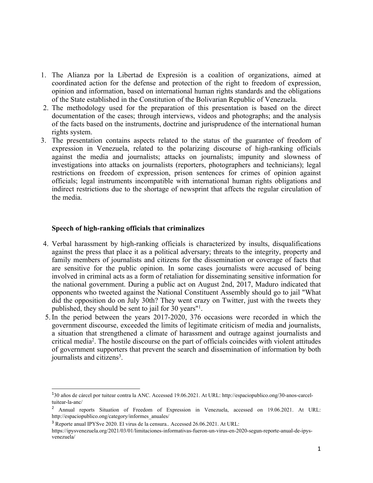- 1. The Alianza por la Libertad de Expresión is <sup>a</sup> coalition of organizations, aimed at coordinated action for the defense and protection of the right to freedom of expression, opinion and information, based on international human rights standards and the obligations of the State established in the Constitution of the Bolivarian Republic of Venezuela.
- 2. The methodology used for the preparation of this presentation is based on the direct documentation of the cases; through interviews, videos and photographs; and the analysis of the facts based on the instruments, doctrine and jurisprudence of the international human rights system.
- 3. The presentation contains aspects related to the status of the guarantee of freedom of expression in Venezuela, related to the polarizing discourse of high-ranking officials against the media and journalists; attacks on journalists; impunity and slowness of investigations into attacks on journalists (reporters, photographers and technicians); legal restrictions on freedom of expression, prison sentences for crimes of opinion against officials; legal instruments incompatible with international human rights obligations and indirect restrictions due to the shortage of newsprint that affects the regular circulation of the media.

#### **Speech of high-ranking officials that criminalizes**

- 4. Verbal harassment by high-ranking officials is characterized by insults, disqualifications against the press that place it as <sup>a</sup> political adversary; threats to the integrity, property and family members of journalists and citizens for the dissemination or coverage of facts that are sensitive for the public opinion. In some cases journalists were accused of being involved in criminal acts as <sup>a</sup> form of retaliation for disseminating sensitive information for the national government. During <sup>a</sup> public act on August 2nd, 2017, Maduro indicated that opponents who tweeted against the National Constituent Assembly should go to jail "What did the opposition do on July 30th? They went crazy on Twitter, just with the tweets they published, they should be sent to jail for 30 years" 1 .
- 5.In the period between the years 2017-2020, 376 occasions were recorded in which the governmen<sup>t</sup> discourse, exceeded the limits of legitimate criticism of media and journalists, <sup>a</sup> situation that strengthened <sup>a</sup> climate of harassment and outrage against journalists and critical media<sup>2</sup>. The hostile discourse on the part of officials coincides with violent attitudes of governmen<sup>t</sup> supporters that preven<sup>t</sup> the search and dissemination of information by both journalists and citizens 3 .

<sup>1</sup> 30 años de cárcel por tuitear contra la ANC. Accessed 19.06.2021. At URL: http://espaciopublico.ong/30-anos-carceltuitear-la-anc/

<sup>&</sup>lt;sup>2</sup> Annual reports Situation of Freedom of Expression in Venezuela, accessed on 19.06.2021. At URL: http://espaciopublico.ong/category/informes\_anuales/

<sup>3</sup> Reporte anual IPYSve 2020. El virus de la censura.. Accessed 26.06.2021. At URL:

https://ipysvenezuela.org/2021/03/01/limitaciones-informativas-fueron-un-virus-en-2020-segun-reporte-anual-de-ipysvenezuela/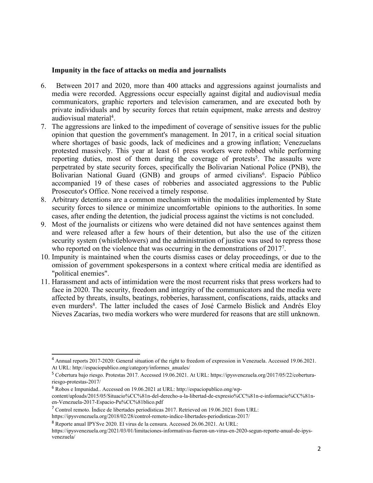### **Impunity in the face of attacks on media and journalists**

- 6. Between 2017 and 2020, more than 400 attacks and aggressions against journalists and media were recorded. Aggressions occur especially against digital and audiovisual media communicators, graphic reporters and television cameramen, and are executed both by private individuals and by security forces that retain equipment, make arrests and destroy audiovisual material 4 .
- 7. The aggressions are linked to the impediment of coverage of sensitive issues for the public opinion that question the government's management. In 2017, in <sup>a</sup> critical social situation where shortages of basic goods, lack of medicines and <sup>a</sup> growing inflation; Venezuelans protested massively. This year at least 61 press workers were robbed while performing reporting duties, most of them during the coverage of protests 5 . The assaults were perpetrated by state security forces, specifically the Bolivarian National Police (PNB), the Bolivarian National Guard (GNB) and groups of armed civilians 6 . Espacio Público accompanied 19 of these cases of robberies and associated aggressions to the Public Prosecutor's Office. None received <sup>a</sup> timely response.
- 8. Arbitrary detentions are <sup>a</sup> common mechanism within the modalities implemented by State security forces to silence or minimize uncomfortable opinions to the authorities. In some cases, after ending the detention, the judicial process against the victims is not concluded.
- 9. Most of the journalists or citizens who were detained did not have sentences against them and were released after <sup>a</sup> few hours of their detention, but also the use of the citizen security system (whistleblowers) and the administration of justice was used to repress those who reported on the violence that was occurring in the demonstrations of 2017<sup>7</sup>.
- 10. Impunity is maintained when the courts dismiss cases or delay proceedings, or due to the omission of governmen<sup>t</sup> spokespersons in <sup>a</sup> context where critical media are identified as "political enemies".
- 11. Harassment and acts of intimidation were the most recurrent risks that press workers had to face in 2020. The security, freedom and integrity of the communicators and the media were affected by threats, insults, beatings, robberies, harassment, confiscations, raids, attacks and even murders 8 . The latter included the cases of José Carmelo Bislick and Andrés Eloy Nieves Zacarías, two media workers who were murdered for reasons that are still unknown.

<sup>6</sup> Robos e Impunidad.. Accessed on 19.06.2021 at URL: http://espaciopublico.ong/wp-

<sup>4</sup> Annual reports 2017-2020: General situation of the right to freedom of expression in Venezuela. Accessed 19.06.2021. At URL: http://espaciopublico.ong/category/informes\_anuales/

<sup>5</sup> Cobertura bajo riesgo. Protestas 2017. Accessed 19.06.2021. At URL: https://ipysvenezuela.org/2017/05/22/coberturariesgo-protestas-2017/

content/uploads/2015/05/Situacio%CC%81n-del-derecho-a-la-libertad-de-expresio%CC%81n-e-informacio%CC%81nen-Venezuela-2017-Espacio-Pu%CC%81blico.pdf

<sup>&</sup>lt;sup>7</sup> Control remoto. Índice de libertades periodísticas 2017. Retrieved on 19.06.2021 from URL:

https://ipysvenezuela.org/2018/02/28/control-remoto-indice-libertades-periodisticas-2017/

<sup>8</sup> Reporte anual IPYSve 2020. El virus de la censura. Accessed 26.06.2021. At URL:

https://ipysvenezuela.org/2021/03/01/limitaciones-informativas-fueron-un-virus-en-2020-segun-reporte-anual-de-ipysvenezuela/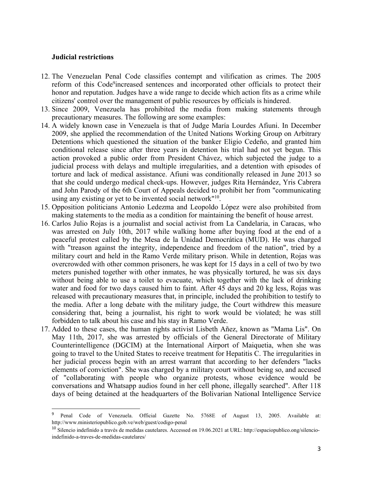#### **Judicial restrictions**

- 12. The Venezuelan Penal Code classifies contempt and vilification as crimes. The 2005 reform of this Code<sup>9</sup>increased sentences and incorporated other officials to protect their honor and reputation. Judges have <sup>a</sup> wide range to decide which action fits as <sup>a</sup> crime while citizens' control over the managemen<sup>t</sup> of public resources by officials is hindered.
- 13. Since 2009, Venezuela has prohibited the media from making statements through precautionary measures. The following are some examples:
- 14. Awidely known case in Venezuela is that of Judge María Lourdes Afiuni. In December 2009, she applied the recommendation of the United Nations Working Group on Arbitrary Detentions which questioned the situation of the banker Eligio Cedeño, and granted him conditional release since after three years in detention his trial had not ye<sup>t</sup> begun. This action provoked <sup>a</sup> public order from President Chávez, which subjected the judge to <sup>a</sup> judicial process with delays and multiple irregularities, and <sup>a</sup> detention with episodes of torture and lack of medical assistance. Afiuni was conditionally released in June 2013 so that she could undergo medical check-ups. However, judges Rita Hernández, Yris Cabrera and John Parody of the 6th Court of Appeals decided to prohibit her from "communicating using any existing or yet to be invented social network"<sup>10</sup>.
- 15. Opposition politicians Antonio Ledezma and Leopoldo López were also prohibited from making statements to the media as <sup>a</sup> condition for maintaining the benefit of house arrest.
- 16. Carlos Julio Rojas is <sup>a</sup> journalist and social activist from La Candelaria, in Caracas, who was arrested on July 10th, 2017 while walking home after buying food at the end of <sup>a</sup> peaceful protest called by the Mesa de la Unidad Democrática (MUD). He was charged with "treason against the integrity, independence and freedom of the nation", tried by <sup>a</sup> military court and held in the Ramo Verde military prison. While in detention, Rojas was overcrowded with other common prisoners, he was kept for 15 days in <sup>a</sup> cell of two by two meters punished together with other inmates, he was physically tortured, he was six days without being able to use <sup>a</sup> toilet to evacuate, which together with the lack of drinking water and food for two days caused him to faint. After 45 days and 20 kg less, Rojas was released with precautionary measures that, in principle, included the prohibition to testify to the media. After <sup>a</sup> long debate with the military judge, the Court withdrew this measure considering that, being <sup>a</sup> journalist, his right to work would be violated; he was still forbidden to talk about his case and his stay in Ramo Verde.
- 17. Added to these cases, the human rights activist Lisbeth Añez, known as "Mama Lis". On May 11th, 2017, she was arrested by officials of the General Directorate of Military Counterintelligence (DGCIM) at the International Airport of Maiquetia, when she was going to travel to the United States to receive treatment for Hepatitis C. The irregularities in her judicial process begin with an arrest warrant that according to her defenders "lacks elements of conviction". She was charged by <sup>a</sup> military court without being so, and accused of "collaborating with people who organize protests, whose evidence would be conversations and Whatsapp audios found in her cell phone, illegally searched". After 118 days of being detained at the headquarters of the Bolivarian National Intelligence Service

<sup>9</sup> Penal Code of Venezuela. Official Gazette No. 5768E of August 13, 2005. Available at: http://www.ministeriopublico.gob.ve/web/guest/codigo-penal

<sup>&</sup>lt;sup>10</sup> Silencio indefinido a través de medidas cautelares. Accessed on 19.06.2021 at URL: http://espaciopublico.ong/silencioindefinido-a-traves-de-medidas-cautelares/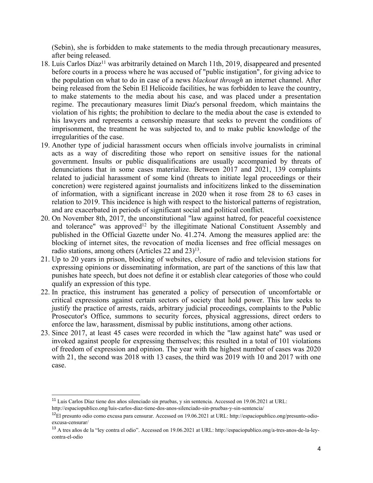(Sebin), she is forbidden to make statements to the media through precautionary measures, after being released.

- 18. Luis Carlos Díaz<sup>11</sup> was arbitrarily detained on March 11th, 2019, disappeared and presented before courts in <sup>a</sup> process where he was accused of "public instigation", for giving advice to the population on what to do in case of <sup>a</sup> news *blackout through* an internet channel. After being released from the Sebin El Helicoide facilities, he was forbidden to leave the country, to make statements to the media about his case, and was placed under <sup>a</sup> presentation regime. The precautionary measures limit Diaz's personal freedom, which maintains the violation of his rights; the prohibition to declare to the media about the case is extended to his lawyers and represents <sup>a</sup> censorship measure that seeks to preven<sup>t</sup> the conditions of imprisonment, the treatment he was subjected to, and to make public knowledge of the irregularities of the case.
- 19. Another type of judicial harassment occurs when officials involve journalists in criminal acts as <sup>a</sup> way of discrediting those who repor<sup>t</sup> on sensitive issues for the national government. Insults or public disqualifications are usually accompanied by threats of denunciations that in some cases materialize. Between 2017 and 2021, 139 complaints related to judicial harassment of some kind (threats to initiate legal proceedings or their concretion) were registered against journalists and infocitizens linked to the dissemination of information, with <sup>a</sup> significant increase in 2020 when it rose from 28 to 63 cases in relation to 2019. This incidence is high with respec<sup>t</sup> to the historical patterns of registration, and are exacerbated in periods of significant social and political conflict.
- 20. On November 8th, 2017, the unconstitutional "law against hatred, for peaceful coexistence and tolerance" was approved<sup>12</sup> by the illegitimate National Constituent Assembly and published in the Official Gazette under No. 41.274. Among the measures applied are: the blocking of internet sites, the revocation of media licenses and free official messages on radio stations, among others (Articles 22 and 23) 13 .
- 21. Up to 20 years in prison, blocking of websites, closure of radio and television stations for expressing opinions or disseminating information, are par<sup>t</sup> of the sanctions of this law that punishes hate speech, but does not define it or establish clear categories of those who could qualify an expression of this type.
- 22. In practice, this instrument has generated <sup>a</sup> policy of persecution of uncomfortable or critical expressions against certain sectors of society that hold power. This law seeks to justify the practice of arrests, raids, arbitrary judicial proceedings, complaints to the Public Prosecutor's Office, summons to security forces, physical aggressions, direct orders to enforce the law, harassment, dismissal by public institutions, among other actions.
- 23. Since 2017, at least 45 cases were recorded in which the "law against hate" was used or invoked against people for expressing themselves; this resulted in <sup>a</sup> total of 101 violations of freedom of expression and opinion. The year with the highest number of cases was 2020 with 21, the second was 2018 with 13 cases, the third was 2019 with 10 and 2017 with one case.

<sup>&</sup>lt;sup>11</sup> Luis Carlos Díaz tiene dos años silenciado sin pruebas, y sin sentencia. Accessed on 19.06.2021 at URL:

http://espaciopublico.ong/luis-carlos-diaz-tiene-dos-anos-silenciado-sin-pruebas-y-sin-sentencia/

<sup>&</sup>lt;sup>12</sup>El presunto odio como excusa para censurar. Accessed on 19.06.2021 at URL: http://espaciopublico.ong/presunto-odioexcusa-censurar/

<sup>&</sup>lt;sup>13</sup> A tres años de la "ley contra el odio". Accessed on 19.06.2021 at URL: http://espaciopublico.ong/a-tres-anos-de-la-leycontra-el-odio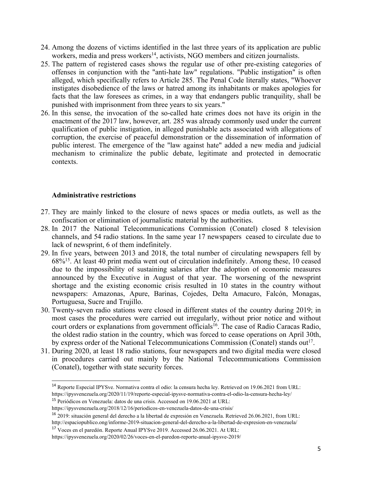- 24. Among the dozens of victims identified in the last three years of its application are public workers, media and press workers<sup>14</sup>, activists, NGO members and citizen journalists.
- 25. The pattern of registered cases shows the regular use of other pre-existing categories of offenses in conjunction with the "anti-hate law" regulations. "Public instigation" is often alleged, which specifically refers to Article 285. The Penal Code literally states, "Whoever instigates disobedience of the laws or hatred among its inhabitants or makes apologies for facts that the law foresees as crimes, in <sup>a</sup> way that endangers public tranquility, shall be punished with imprisonment from three years to six years."
- 26. In this sense, the invocation of the so-called hate crimes does not have its origin in the enactment of the 2017 law, however, art. 285 was already commonly used under the current qualification of public instigation, in alleged punishable acts associated with allegations of corruption, the exercise of peaceful demonstration or the dissemination of information of public interest. The emergence of the "law against hate" added <sup>a</sup> new media and judicial mechanism to criminalize the public debate, legitimate and protected in democratic contexts.

# **Administrative restrictions**

- 27. They are mainly linked to the closure of news spaces or media outlets, as well as the confiscation or elimination of journalistic material by the authorities.
- 28. In 2017 the National Telecommunications Commission (Conatel) closed 8 television channels, and 54 radio stations. In the same year 17 newspapers ceased to circulate due to lack of newsprint, 6 of them indefinitely.
- 29. In five years, between 2013 and 2018, the total number of circulating newspapers fell by 68%<sup>15</sup> . At least 40 print media went out of circulation indefinitely. Among these, 10 ceased due to the impossibility of sustaining salaries after the adoption of economic measures announced by the Executive in August of that year. The worsening of the newsprint shortage and the existing economic crisis resulted in 10 states in the country without newspapers: Amazonas, Apure, Barinas, Cojedes, Delta Amacuro, Falcón, Monagas, Portuguesa, Sucre and Trujillo.
- 30. Twenty-seven radio stations were closed in different states of the country during 2019; in most cases the procedures were carried out irregularly, without prior notice and without court orders or explanations from government officials<sup>16</sup>. The case of Radio Caracas Radio, the oldest radio station in the country, which was forced to cease operations on April 30th, by express order of the National Telecommunications Commission (Conatel) stands out<sup>17</sup>.
- 31. During 2020, at least 18 radio stations, four newspapers and two digital media were closed in procedures carried out mainly by the National Telecommunications Commission (Conatel), together with state security forces.

<sup>14</sup> Reporte Especial IPYSve. Normativa contra el odio: la censura hecha ley. Retrieved on 19.06.2021 from URL: https://ipysvenezuela.org/2020/11/19/reporte-especial-ipysve-normativa-contra-el-odio-la-censura-hecha-ley/

<sup>&</sup>lt;sup>15</sup> Periódicos en Venezuela: datos de una crisis. Accessed on 19.06.2021 at URL:

https://ipysvenezuela.org/2018/12/16/periodicos-en-venezuela-datos-de-una-crisis/

<sup>&</sup>lt;sup>16</sup> 2019: situación general del derecho a la libertad de expresión en Venezuela. Retrieved 26.06.2021, from URL:

http://espaciopublico.ong/informe-2019-situacion-general-del-derecho-a-la-libertad-de-expresion-en-venezuela/

<sup>&</sup>lt;sup>17</sup> Voces en el paredón. Reporte Anual IPYSve 2019. Accessed 26.06.2021. At URL:

https://ipysvenezuela.org/2020/02/26/voces-en-el-paredon-reporte-anual-ipysve-2019/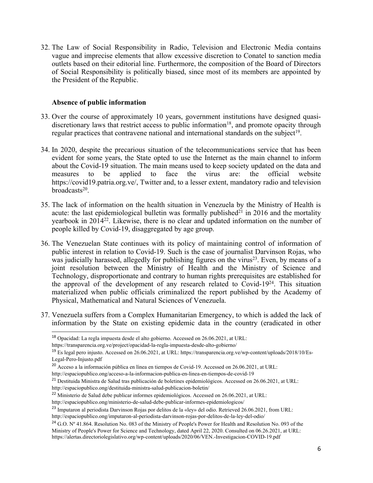32. The Law of Social Responsibility in Radio, Television and Electronic Media contains vague and imprecise elements that allow excessive discretion to Conatel to sanction media outlets based on their editorial line. Furthermore, the composition of the Board of Directors of Social Responsibility is politically biased, since most of its members are appointed by the President of the Republic.

# **Absence of public information**

- 33. Over the course of approximately 10 years, governmen<sup>t</sup> institutions have designed quasidiscretionary laws that restrict access to public information<sup>18</sup>, and promote opacity through regular practices that contravene national and international standards on the subject<sup>19</sup>.
- 34. In 2020, despite the precarious situation of the telecommunications service that has been evident for some years, the State opted to use the Internet as the main channel to inform about the Covid-19 situation. The main means used to keep society updated on the data and measures to be applied to face the virus are: the official website https://covid19.patria.org.ve/, Twitter and, to <sup>a</sup> lesser extent, mandatory radio and television broadcasts 20 .
- 35. The lack of information on the health situation in Venezuela by the Ministry of Health is acute: the last epidemiological bulletin was formally published<sup>21</sup> in 2016 and the mortality yearbook in 2014<sup>22</sup>. Likewise, there is no clear and updated information on the number of people killed by Covid-19, disaggregated by age group.
- 36. The Venezuelan State continues with its policy of maintaining control of information of public interest in relation to Covid-19. Such is the case of journalist Darvinson Rojas, who was judicially harassed, allegedly for publishing figures on the virus<sup>23</sup>. Even, by means of a joint resolution between the Ministry of Health and the Ministry of Science and Technology, disproportionate and contrary to human rights prerequisites are established for the approval of the development of any research related to Covid-19<sup>24</sup> . This situation materialized when public officials criminalized the repor<sup>t</sup> published by the Academy of Physical, Mathematical and Natural Sciences of Venezuela.
- 37. Venezuela suffers from <sup>a</sup> Complex Humanitarian Emergency, to which is added the lack of information by the State on existing epidemic data in the country (eradicated in other

 $^{18}$  Opacidad: La regla impuesta desde el alto gobierno. Accessed on 26.06.2021, at URL:

https://transparencia.org.ve/project/opacidad-la-regla-impuesta-desde-alto-gobierno/

<sup>&</sup>lt;sup>19</sup> Es legal pero injusto. Accessed on 26.06.2021, at URL: https://transparencia.org.ve/wp-content/uploads/2018/10/Es-Legal-Pero-Injusto.pdf

<sup>&</sup>lt;sup>20</sup> Acceso a la información pública en línea en tiempos de Covid-19. Accessed on 26.06.2021, at URL:

http://espaciopublico.ong/acceso-a-la-informacion-publica-en-linea-en-tiempos-de-covid-19

<sup>&</sup>lt;sup>21</sup> Destituida Ministra de Salud tras publicación de boletines epidemiológicos. Accessed on 26.06.2021, at URL:

http://espaciopublico.ong/destituida-ministra-salud-publicacion-boletin/

<sup>&</sup>lt;sup>22</sup> Ministerio de Salud debe publicar informes epidemiológicos. Accessed on 26.06.2021, at URL:

http://espaciopublico.ong/ministerio-de-salud-debe-publicar-informes-epidemiologicos/

<sup>&</sup>lt;sup>23</sup> Imputaron al periodista Darvinson Rojas por delitos de la «ley» del odio. Retrieved 26.06.2021, from URL:

http://espaciopublico.ong/imputaron-al-periodista-darvinson-rojas-por-delitos-de-la-ley-del-odio/

<sup>&</sup>lt;sup>24</sup> G.O. Nº 41.864. Resolution No. 083 of the Ministry of People's Power for Health and Resolution No. 093 of the Ministry of People's Power for Science and Technology, dated April 22, 2020. Consulted on 06.26.2021, at URL: https://alertas.directoriolegislativo.org/wp-content/uploads/2020/06/VEN.-Investigacion-COVID-19.pdf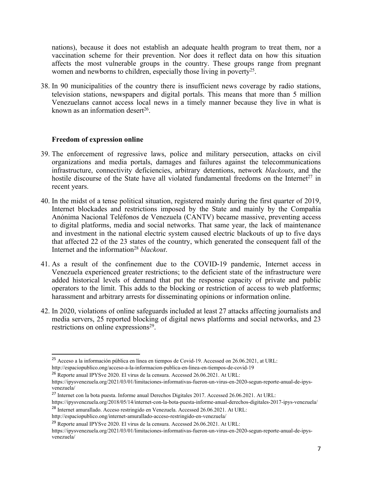nations), because it does not establish an adequate health program to treat them, nor <sup>a</sup> vaccination scheme for their prevention. Nor does it reflect data on how this situation affects the most vulnerable groups in the country. These groups range from pregnan<sup>t</sup> women and newborns to children, especially those living in poverty<sup>25</sup>.

38. In 90 municipalities of the country there is insufficient news coverage by radio stations, television stations, newspapers and digital portals. This means that more than 5 million Venezuelans cannot access local news in <sup>a</sup> timely manner because they live in what is known as an information desert<sup>26</sup>.

## **Freedom of expression online**

- 39. The enforcement of regressive laws, police and military persecution, attacks on civil organizations and media portals, damages and failures against the telecommunications infrastructure, connectivity deficiencies, arbitrary detentions, network *blackouts*, and the hostile discourse of the State have all violated fundamental freedoms on the Internet<sup>27</sup> in recent years.
- 40. In the midst of <sup>a</sup> tense political situation, registered mainly during the first quarter of 2019, Internet blockades and restrictions imposed by the State and mainly by the Compañía Anónima Nacional Teléfonos de Venezuela (CANTV) became massive, preventing access to digital platforms, media and social networks. That same year, the lack of maintenance and investment in the national electric system caused electric blackouts of up to five days that affected 22 of the 23 states of the country, which generated the consequen<sup>t</sup> fall of the Internet and the information<sup>28</sup> blackout.
- 41. As <sup>a</sup> result of the confinement due to the COVID-19 pandemic, Internet access in Venezuela experienced greater restrictions; to the deficient state of the infrastructure were added historical levels of demand that pu<sup>t</sup> the response capacity of private and public operators to the limit. This adds to the blocking or restriction of access to web platforms; harassment and arbitrary arrests for disseminating opinions or information online.
- 42. In 2020, violations of online safeguards included at least 27 attacks affecting journalists and media servers, 25 reported blocking of digital news platforms and social networks, and 23 restrictions on online expressions<sup>29</sup>.

<sup>&</sup>lt;sup>25</sup> Acceso a la información pública en línea en tiempos de Covid-19. Accessed on 26.06.2021, at URL: http://espaciopublico.ong/acceso-a-la-informacion-publica-en-linea-en-tiempos-de-covid-19

<sup>&</sup>lt;sup>26</sup> Reporte anual IPYSve 2020. El virus de la censura. Accessed 26.06.2021. At URL:

https://ipysvenezuela.org/2021/03/01/limitaciones-informativas-fueron-un-virus-en-2020-segun-reporte-anual-de-ipysvenezuela/

<sup>&</sup>lt;sup>27</sup> Internet con la bota puesta. Informe anual Derechos Digitales 2017. Accessed 26.06.2021. At URL:

https://ipysvenezuela.org/2018/05/14/internet-con-la-bota-puesta-informe-anual-derechos-digitales-2017-ipys-venezuela/

<sup>&</sup>lt;sup>28</sup> Internet amurallado. Acceso restringido en Venezuela. Accessed 26.06.2021. At URL: http://espaciopublico.ong/internet-amurallado-acceso-restringido-en-venezuela/

<sup>&</sup>lt;sup>29</sup> Reporte anual IPYSve 2020. El virus de la censura. Accessed 26.06.2021. At URL:

https://ipysvenezuela.org/2021/03/01/limitaciones-informativas-fueron-un-virus-en-2020-segun-reporte-anual-de-ipysvenezuela/